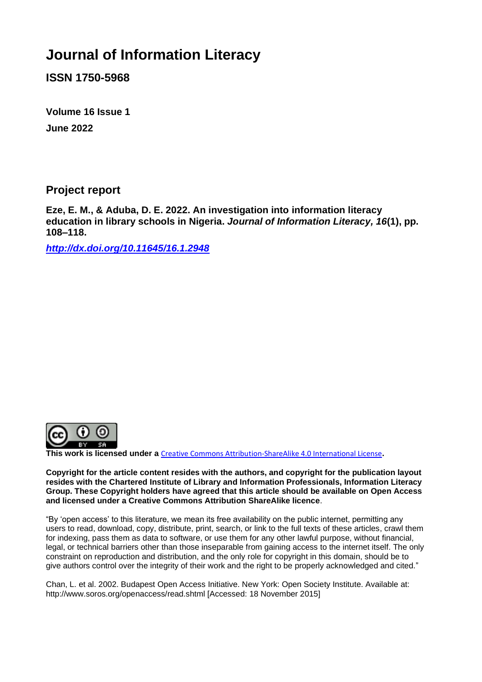# **Journal of Information Literacy**

**ISSN 1750-5968**

**Volume 16 Issue 1 June 2022**

**Project report** 

**Eze, E. M., & Aduba, D. E. 2022. An investigation into information literacy education in library schools in Nigeria.** *Journal of Information Literacy, 16***(1), pp. 108–118.**

*<http://dx.doi.org/10.11645/16.1.2948>*



**This work is licensed under a** [Creative Commons Attribution-ShareAlike 4.0 International License](http://creativecommons.org/licenses/by-sa/4.0/)**.**

**Copyright for the article content resides with the authors, and copyright for the publication layout resides with the Chartered Institute of Library and Information Professionals, Information Literacy Group. These Copyright holders have agreed that this article should be available on Open Access and licensed under a Creative Commons Attribution ShareAlike licence**.

"By 'open access' to this literature, we mean its free availability on the public internet, permitting any users to read, download, copy, distribute, print, search, or link to the full texts of these articles, crawl them for indexing, pass them as data to software, or use them for any other lawful purpose, without financial, legal, or technical barriers other than those inseparable from gaining access to the internet itself. The only constraint on reproduction and distribution, and the only role for copyright in this domain, should be to give authors control over the integrity of their work and the right to be properly acknowledged and cited."

Chan, L. et al. 2002. Budapest Open Access Initiative. New York: Open Society Institute. Available at: http://www.soros.org/openaccess/read.shtml [Accessed: 18 November 2015]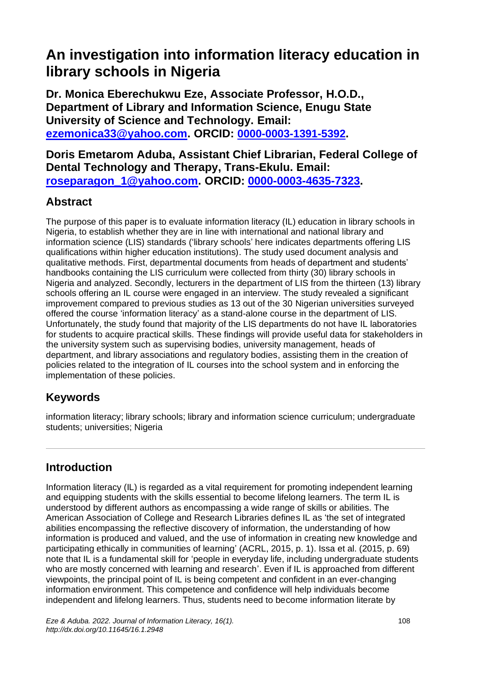# **An investigation into information literacy education in library schools in Nigeria**

**Dr. Monica Eberechukwu Eze, Associate Professor, H.O.D., Department of Library and Information Science, Enugu State University of Science and Technology. Email: [ezemonica33@yahoo.com.](mailto:ezemonica33@yahoo.com) ORCID: [0000-0003-1391-5392](https://orcid.org/0000-0003-1391-5392).** 

**Doris Emetarom Aduba, Assistant Chief Librarian, Federal College of Dental Technology and Therapy, Trans-Ekulu. Email: [roseparagon\\_1@yahoo.com.](mailto:roseparagon_1@yahoo.com) ORCID: [0000-0003-4635-7323.](https://www.orcid.org/0000-0003-4635-7323)** 

## **Abstract**

The purpose of this paper is to evaluate information literacy (IL) education in library schools in Nigeria, to establish whether they are in line with international and national library and information science (LIS) standards ('library schools' here indicates departments offering LIS qualifications within higher education institutions). The study used document analysis and qualitative methods. First, departmental documents from heads of department and students' handbooks containing the LIS curriculum were collected from thirty (30) library schools in Nigeria and analyzed. Secondly, lecturers in the department of LIS from the thirteen (13) library schools offering an IL course were engaged in an interview. The study revealed a significant improvement compared to previous studies as 13 out of the 30 Nigerian universities surveyed offered the course 'information literacy' as a stand-alone course in the department of LIS. Unfortunately, the study found that majority of the LIS departments do not have IL laboratories for students to acquire practical skills. These findings will provide useful data for stakeholders in the university system such as supervising bodies, university management, heads of department, and library associations and regulatory bodies, assisting them in the creation of policies related to the integration of IL courses into the school system and in enforcing the implementation of these policies.

## **Keywords**

information literacy; library schools; library and information science curriculum; undergraduate students; universities; Nigeria

# **Introduction**

Information literacy (IL) is regarded as a vital requirement for promoting independent learning and equipping students with the skills essential to become lifelong learners. The term IL is understood by different authors as encompassing a wide range of skills or abilities. The American Association of College and Research Libraries defines IL as 'the set of integrated abilities encompassing the reflective discovery of information, the understanding of how information is produced and valued, and the use of information in creating new knowledge and participating ethically in communities of learning' (ACRL, 2015, p. 1). Issa et al. (2015, p. 69) note that IL is a fundamental skill for 'people in everyday life, including undergraduate students who are mostly concerned with learning and research'. Even if IL is approached from different viewpoints, the principal point of IL is being competent and confident in an ever-changing information environment. This competence and confidence will help individuals become independent and lifelong learners. Thus, students need to become information literate by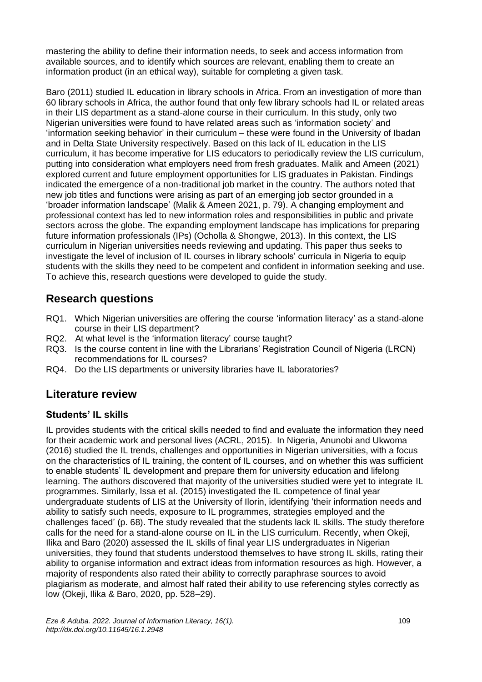mastering the ability to define their information needs, to seek and access information from available sources, and to identify which sources are relevant, enabling them to create an information product (in an ethical way), suitable for completing a given task.

Baro (2011) studied IL education in library schools in Africa. From an investigation of more than 60 library schools in Africa, the author found that only few library schools had IL or related areas in their LIS department as a stand-alone course in their curriculum. In this study, only two Nigerian universities were found to have related areas such as 'information society' and 'information seeking behavior' in their curriculum – these were found in the University of Ibadan and in Delta State University respectively. Based on this lack of IL education in the LIS curriculum, it has become imperative for LIS educators to periodically review the LIS curriculum, putting into consideration what employers need from fresh graduates. Malik and Ameen (2021) explored current and future employment opportunities for LIS graduates in Pakistan. Findings indicated the emergence of a non-traditional job market in the country. The authors noted that new job titles and functions were arising as part of an emerging job sector grounded in a 'broader information landscape' (Malik & Ameen 2021, p. 79). A changing employment and professional context has led to new information roles and responsibilities in public and private sectors across the globe. The expanding employment landscape has implications for preparing future information professionals (IPs) (Ocholla & Shongwe, 2013). In this context, the LIS curriculum in Nigerian universities needs reviewing and updating. This paper thus seeks to investigate the level of inclusion of IL courses in library schools' curricula in Nigeria to equip students with the skills they need to be competent and confident in information seeking and use. To achieve this, research questions were developed to guide the study.

# **Research questions**

- RQ1. Which Nigerian universities are offering the course 'information literacy' as a stand-alone course in their LIS department?
- RQ2. At what level is the 'information literacy' course taught?
- RQ3. Is the course content in line with the Librarians' Registration Council of Nigeria (LRCN) recommendations for IL courses?
- RQ4. Do the LIS departments or university libraries have IL laboratories?

## **Literature review**

### **Students' IL skills**

IL provides students with the critical skills needed to find and evaluate the information they need for their academic work and personal lives (ACRL, 2015). In Nigeria, Anunobi and Ukwoma (2016) studied the IL trends, challenges and opportunities in Nigerian universities, with a focus on the characteristics of IL training, the content of IL courses, and on whether this was sufficient to enable students' IL development and prepare them for university education and lifelong learning. The authors discovered that majority of the universities studied were yet to integrate IL programmes. Similarly, Issa et al. (2015) investigated the IL competence of final year undergraduate students of LIS at the University of Ilorin, identifying 'their information needs and ability to satisfy such needs, exposure to IL programmes, strategies employed and the challenges faced' (p. 68). The study revealed that the students lack IL skills. The study therefore calls for the need for a stand-alone course on IL in the LIS curriculum. Recently, when Okeji, Ilika and Baro (2020) assessed the IL skills of final year LIS undergraduates in Nigerian universities, they found that students understood themselves to have strong IL skills, rating their ability to organise information and extract ideas from information resources as high. However, a majority of respondents also rated their ability to correctly paraphrase sources to avoid plagiarism as moderate, and almost half rated their ability to use referencing styles correctly as low (Okeji, Ilika & Baro, 2020, pp. 528–29).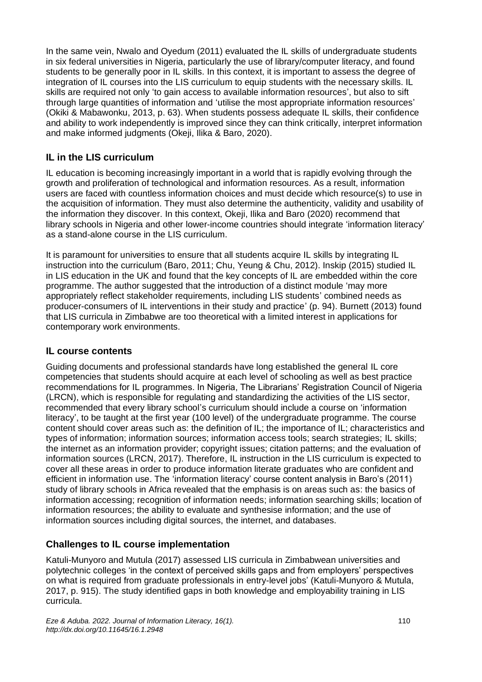In the same vein, Nwalo and Oyedum (2011) evaluated the IL skills of undergraduate students in six federal universities in Nigeria, particularly the use of library/computer literacy, and found students to be generally poor in IL skills. In this context, it is important to assess the degree of integration of IL courses into the LIS curriculum to equip students with the necessary skills. IL skills are required not only 'to gain access to available information resources', but also to sift through large quantities of information and 'utilise the most appropriate information resources' (Okiki & Mabawonku, 2013, p. 63). When students possess adequate IL skills, their confidence and ability to work independently is improved since they can think critically, interpret information and make informed judgments (Okeji, Ilika & Baro, 2020).

### **IL in the LIS curriculum**

IL education is becoming increasingly important in a world that is rapidly evolving through the growth and proliferation of technological and information resources. As a result, information users are faced with countless information choices and must decide which resource(s) to use in the acquisition of information. They must also determine the authenticity, validity and usability of the information they discover. In this context, Okeji, Ilika and Baro (2020) recommend that library schools in Nigeria and other lower-income countries should integrate 'information literacy' as a stand-alone course in the LIS curriculum.

It is paramount for universities to ensure that all students acquire IL skills by integrating IL instruction into the curriculum (Baro, 2011; Chu, Yeung & Chu, 2012). Inskip (2015) studied IL in LIS education in the UK and found that the key concepts of IL are embedded within the core programme. The author suggested that the introduction of a distinct module 'may more appropriately reflect stakeholder requirements, including LIS students' combined needs as producer-consumers of IL interventions in their study and practice' (p. 94). Burnett (2013) found that LIS curricula in Zimbabwe are too theoretical with a limited interest in applications for contemporary work environments.

### **IL course contents**

Guiding documents and professional standards have long established the general IL core competencies that students should acquire at each level of schooling as well as best practice recommendations for IL programmes. In Nigeria, The Librarians' Registration Council of Nigeria (LRCN), which is responsible for regulating and standardizing the activities of the LIS sector, recommended that every library school's curriculum should include a course on 'information literacy', to be taught at the first year (100 level) of the undergraduate programme. The course content should cover areas such as: the definition of IL; the importance of IL; characteristics and types of information; information sources; information access tools; search strategies; IL skills; the internet as an information provider; copyright issues; citation patterns; and the evaluation of information sources (LRCN, 2017). Therefore, IL instruction in the LIS curriculum is expected to cover all these areas in order to produce information literate graduates who are confident and efficient in information use. The 'information literacy' course content analysis in Baro's (2011) study of library schools in Africa revealed that the emphasis is on areas such as: the basics of information accessing; recognition of information needs; information searching skills; location of information resources; the ability to evaluate and synthesise information; and the use of information sources including digital sources, the internet, and databases.

### **Challenges to IL course implementation**

Katuli-Munyoro and Mutula (2017) assessed LIS curricula in Zimbabwean universities and polytechnic colleges 'in the context of perceived skills gaps and from employers' perspectives on what is required from graduate professionals in entry-level jobs' (Katuli-Munyoro & Mutula, 2017, p. 915). The study identified gaps in both knowledge and employability training in LIS curricula.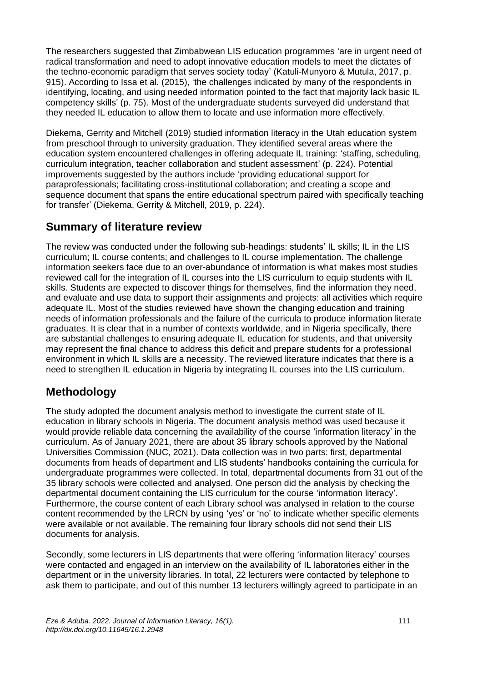The researchers suggested that Zimbabwean LIS education programmes 'are in urgent need of radical transformation and need to adopt innovative education models to meet the dictates of the techno-economic paradigm that serves society today' (Katuli-Munyoro & Mutula, 2017, p. 915). According to Issa et al. (2015), 'the challenges indicated by many of the respondents in identifying, locating, and using needed information pointed to the fact that majority lack basic IL competency skills' (p. 75). Most of the undergraduate students surveyed did understand that they needed IL education to allow them to locate and use information more effectively.

Diekema, Gerrity and Mitchell (2019) studied information literacy in the Utah education system from preschool through to university graduation. They identified several areas where the education system encountered challenges in offering adequate IL training: 'staffing, scheduling, curriculum integration, teacher collaboration and student assessment' (p. 224). Potential improvements suggested by the authors include 'providing educational support for paraprofessionals; facilitating cross-institutional collaboration; and creating a scope and sequence document that spans the entire educational spectrum paired with specifically teaching for transfer' (Diekema, Gerrity & Mitchell, 2019, p. 224).

# **Summary of literature review**

The review was conducted under the following sub-headings: students' IL skills; IL in the LIS curriculum; IL course contents; and challenges to IL course implementation. The challenge information seekers face due to an over-abundance of information is what makes most studies reviewed call for the integration of IL courses into the LIS curriculum to equip students with IL skills. Students are expected to discover things for themselves, find the information they need, and evaluate and use data to support their assignments and projects: all activities which require adequate IL. Most of the studies reviewed have shown the changing education and training needs of information professionals and the failure of the curricula to produce information literate graduates. It is clear that in a number of contexts worldwide, and in Nigeria specifically, there are substantial challenges to ensuring adequate IL education for students, and that university may represent the final chance to address this deficit and prepare students for a professional environment in which IL skills are a necessity. The reviewed literature indicates that there is a need to strengthen IL education in Nigeria by integrating IL courses into the LIS curriculum.

# **Methodology**

The study adopted the document analysis method to investigate the current state of IL education in library schools in Nigeria. The document analysis method was used because it would provide reliable data concerning the availability of the course 'information literacy' in the curriculum. As of January 2021, there are about 35 library schools approved by the National Universities Commission (NUC, 2021). Data collection was in two parts: first, departmental documents from heads of department and LIS students' handbooks containing the curricula for undergraduate programmes were collected. In total, departmental documents from 31 out of the 35 library schools were collected and analysed. One person did the analysis by checking the departmental document containing the LIS curriculum for the course 'information literacy'. Furthermore, the course content of each Library school was analysed in relation to the course content recommended by the LRCN by using 'yes' or 'no' to indicate whether specific elements were available or not available. The remaining four library schools did not send their LIS documents for analysis.

Secondly, some lecturers in LIS departments that were offering 'information literacy' courses were contacted and engaged in an interview on the availability of IL laboratories either in the department or in the university libraries. In total, 22 lecturers were contacted by telephone to ask them to participate, and out of this number 13 lecturers willingly agreed to participate in an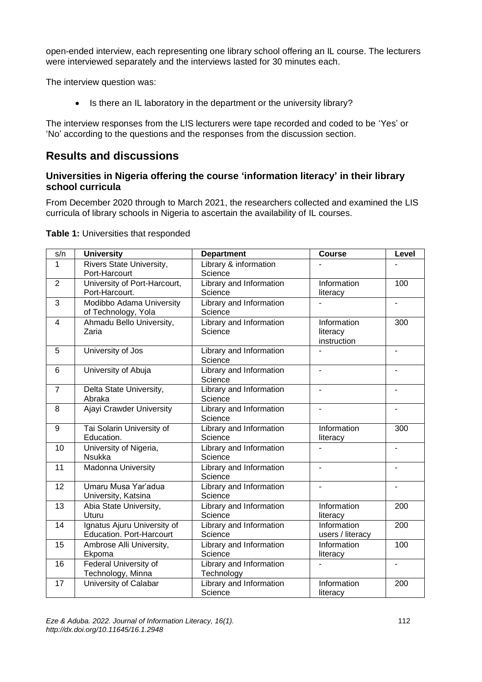open-ended interview, each representing one library school offering an IL course. The lecturers were interviewed separately and the interviews lasted for 30 minutes each.

The interview question was:

• Is there an IL laboratory in the department or the university library?

The interview responses from the LIS lecturers were tape recorded and coded to be 'Yes' or 'No' according to the questions and the responses from the discussion section.

## **Results and discussions**

#### **Universities in Nigeria offering the course 'information literacy' in their library school curricula**

From December 2020 through to March 2021, the researchers collected and examined the LIS curricula of library schools in Nigeria to ascertain the availability of IL courses.

| s/n            | <b>University</b>                                              | <b>Department</b>                     | <b>Course</b>                          | Level          |
|----------------|----------------------------------------------------------------|---------------------------------------|----------------------------------------|----------------|
| 1              | Rivers State University,<br>Port-Harcourt                      | Library & information<br>Science      |                                        |                |
| $\overline{2}$ | University of Port-Harcourt,<br>Port-Harcourt.                 | Library and Information<br>Science    | Information<br>literacy                | 100            |
| 3              | Modibbo Adama University<br>of Technology, Yola                | Library and Information<br>Science    |                                        | $\overline{a}$ |
| $\overline{4}$ | Ahmadu Bello University,<br>Zaria                              | Library and Information<br>Science    | Information<br>literacy<br>instruction | 300            |
| 5              | University of Jos                                              | Library and Information<br>Science    |                                        |                |
| 6              | University of Abuja                                            | Library and Information<br>Science    |                                        |                |
| $\overline{7}$ | Delta State University,<br>Abraka                              | Library and Information<br>Science    | $\overline{\phantom{a}}$               | $\blacksquare$ |
| 8              | Ajayi Crawder University                                       | Library and Information<br>Science    | $\blacksquare$                         | $\blacksquare$ |
| 9              | Tai Solarin University of<br>Education.                        | Library and Information<br>Science    | Information<br>literacy                | 300            |
| 10             | University of Nigeria,<br><b>Nsukka</b>                        | Library and Information<br>Science    |                                        | $\blacksquare$ |
| 11             | Madonna University                                             | Library and Information<br>Science    |                                        |                |
| 12             | Umaru Musa Yar'adua<br>University, Katsina                     | Library and Information<br>Science    |                                        | $\blacksquare$ |
| 13             | Abia State University,<br>Uturu                                | Library and Information<br>Science    | Information<br>literacy                | 200            |
| 14             | Ignatus Ajuru University of<br><b>Education. Port-Harcourt</b> | Library and Information<br>Science    | Information<br>users / literacy        | 200            |
| 15             | Ambrose Alli University,<br>Ekpoma                             | Library and Information<br>Science    | Information<br>literacy                | 100            |
| 16             | Federal University of<br>Technology, Minna                     | Library and Information<br>Technology |                                        | $\blacksquare$ |
| 17             | University of Calabar                                          | Library and Information<br>Science    | Information<br>literacy                | 200            |

**Table 1:** Universities that responded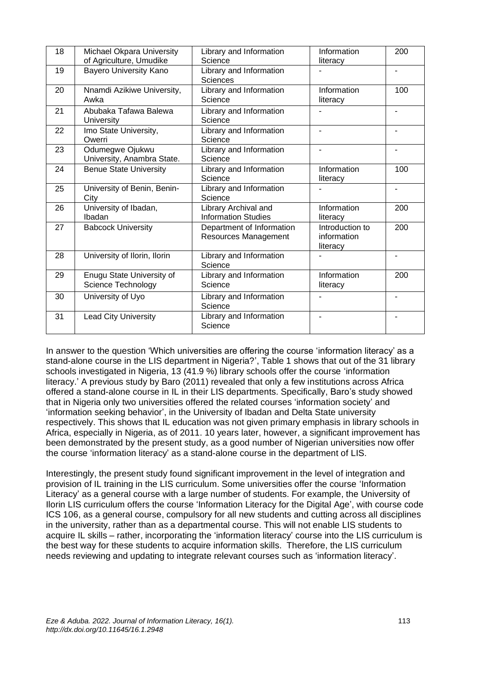| 18 | Michael Okpara University<br>of Agriculture, Umudike | Library and Information<br>Science                 | Information<br>literacy                    | 200            |
|----|------------------------------------------------------|----------------------------------------------------|--------------------------------------------|----------------|
| 19 | <b>Bayero University Kano</b>                        | Library and Information<br><b>Sciences</b>         |                                            | ٠              |
| 20 | Nnamdi Azikiwe University,<br>Awka                   | Library and Information<br>Science                 | Information<br>literacy                    | 100            |
| 21 | Abubaka Tafawa Balewa<br><b>University</b>           | Library and Information<br>Science                 |                                            |                |
| 22 | Imo State University,<br>Owerri                      | Library and Information<br>Science                 |                                            |                |
| 23 | Odumegwe Ojukwu<br>University, Anambra State.        | Library and Information<br>Science                 |                                            |                |
| 24 | <b>Benue State University</b>                        | Library and Information<br>Science                 | Information<br>literacy                    | 100            |
| 25 | University of Benin, Benin-<br>City                  | Library and Information<br>Science                 |                                            |                |
| 26 | University of Ibadan,<br>Ibadan                      | Library Archival and<br><b>Information Studies</b> | Information<br>literacy                    | 200            |
| 27 | <b>Babcock University</b>                            | Department of Information<br>Resources Management  | Introduction to<br>information<br>literacy | 200            |
| 28 | University of Ilorin, Ilorin                         | Library and Information<br>Science                 |                                            | $\blacksquare$ |
| 29 | Enugu State University of<br>Science Technology      | Library and Information<br>Science                 | Information<br>literacy                    | 200            |
| 30 | University of Uyo                                    | Library and Information<br>Science                 | $\blacksquare$                             | $\blacksquare$ |
| 31 | <b>Lead City University</b>                          | Library and Information<br>Science                 | ۰                                          | ٠              |

In answer to the question 'Which universities are offering the course 'information literacy' as a stand-alone course in the LIS department in Nigeria?', Table 1 shows that out of the 31 library schools investigated in Nigeria, 13 (41.9 %) library schools offer the course 'information literacy.' A previous study by Baro (2011) revealed that only a few institutions across Africa offered a stand-alone course in IL in their LIS departments. Specifically, Baro's study showed that in Nigeria only two universities offered the related courses 'information society' and 'information seeking behavior', in the University of Ibadan and Delta State university respectively. This shows that IL education was not given primary emphasis in library schools in Africa, especially in Nigeria, as of 2011. 10 years later, however, a significant improvement has been demonstrated by the present study, as a good number of Nigerian universities now offer the course 'information literacy' as a stand-alone course in the department of LIS.

Interestingly, the present study found significant improvement in the level of integration and provision of IL training in the LIS curriculum. Some universities offer the course 'Information Literacy' as a general course with a large number of students. For example, the University of Ilorin LIS curriculum offers the course 'Information Literacy for the Digital Age', with course code ICS 106, as a general course, compulsory for all new students and cutting across all disciplines in the university, rather than as a departmental course. This will not enable LIS students to acquire IL skills – rather, incorporating the 'information literacy' course into the LIS curriculum is the best way for these students to acquire information skills. Therefore, the LIS curriculum needs reviewing and updating to integrate relevant courses such as 'information literacy'.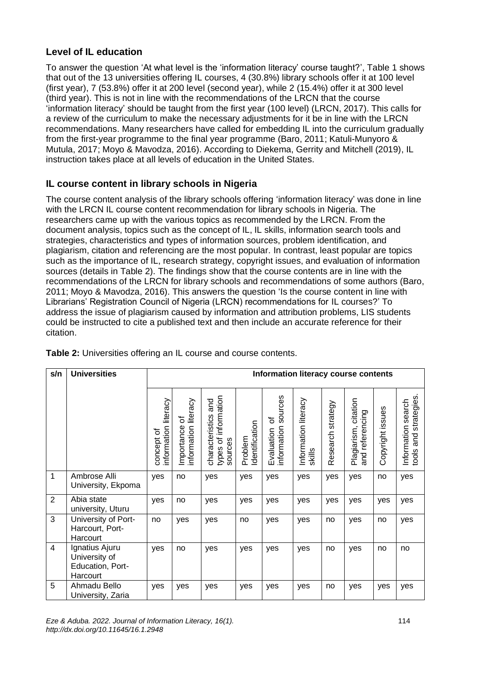#### **Level of IL education**

To answer the question 'At what level is the 'information literacy' course taught?', Table 1 shows that out of the 13 universities offering IL courses, 4 (30.8%) library schools offer it at 100 level (first year), 7 (53.8%) offer it at 200 level (second year), while 2 (15.4%) offer it at 300 level (third year). This is not in line with the recommendations of the LRCN that the course 'information literacy' should be taught from the first year (100 level) (LRCN, 2017). This calls for a review of the curriculum to make the necessary adjustments for it be in line with the LRCN recommendations. Many researchers have called for embedding IL into the curriculum gradually from the first-year programme to the final year programme (Baro, 2011; Katuli-Munyoro & Mutula, 2017; Moyo & Mavodza, 2016). According to Diekema, Gerrity and Mitchell (2019), IL instruction takes place at all levels of education in the United States.

### **IL course content in library schools in Nigeria**

The course content analysis of the library schools offering 'information literacy' was done in line with the LRCN IL course content recommendation for library schools in Nigeria. The researchers came up with the various topics as recommended by the LRCN. From the document analysis, topics such as the concept of IL, IL skills, information search tools and strategies, characteristics and types of information sources, problem identification, and plagiarism, citation and referencing are the most popular. In contrast, least popular are topics such as the importance of IL, research strategy, copyright issues, and evaluation of information sources (details in Table 2). The findings show that the course contents are in line with the recommendations of the LRCN for library schools and recommendations of some authors (Baro, 2011; Moyo & Mavodza, 2016). This answers the question 'Is the course content in line with Librarians' Registration Council of Nigeria (LRCN) recommendations for IL courses?' To address the issue of plagiarism caused by information and attribution problems, LIS students could be instructed to cite a published text and then include an accurate reference for their citation.

| s/n                      | <b>Universities</b>                                             | Information literacy course contents  |                                            |                                                           |                           |                                          |                                |                   |                                            |                  |                                                     |
|--------------------------|-----------------------------------------------------------------|---------------------------------------|--------------------------------------------|-----------------------------------------------------------|---------------------------|------------------------------------------|--------------------------------|-------------------|--------------------------------------------|------------------|-----------------------------------------------------|
|                          |                                                                 | literacy<br>information<br>concept of | literacy<br>৳<br>information<br>Importance | types of information<br>and<br>characteristics<br>sources | Identification<br>Problem | sources<br>৳<br>nformation<br>Evaluation | Information literacy<br>skills | Research strategy | citation<br>and referencing<br>Plagiarism, | Copyright issues | strategies<br>search<br>Information<br>and<br>tools |
| 1                        | Ambrose Alli<br>University, Ekpoma                              | yes                                   | no                                         | yes                                                       | yes                       | yes                                      | yes                            | yes               | yes                                        | no               | yes                                                 |
| 2                        | Abia state<br>university, Uturu                                 | yes                                   | no                                         | yes                                                       | yes                       | yes                                      | yes                            | yes               | yes                                        | yes              | yes                                                 |
| 3                        | University of Port-<br>Harcourt, Port-<br>Harcourt              | no                                    | yes                                        | yes                                                       | no                        | yes                                      | yes                            | no                | yes                                        | no               | yes                                                 |
| $\overline{\mathcal{A}}$ | Ignatius Ajuru<br>University of<br>Education, Port-<br>Harcourt | ves                                   | no                                         | yes                                                       | yes                       | yes                                      | yes                            | no                | yes                                        | no               | no                                                  |
| 5                        | Ahmadu Bello<br>University, Zaria                               | yes                                   | yes                                        | yes                                                       | yes                       | yes                                      | yes                            | no                | yes                                        | yes              | yes                                                 |

**Table 2:** Universities offering an IL course and course contents.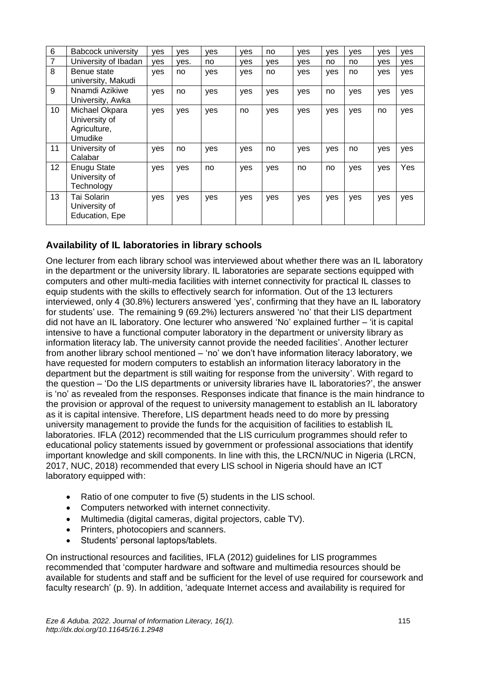| 6  | <b>Babcock university</b>                                  | yes | ves  | ves | ves | no  | ves | ves | ves | ves | yes |
|----|------------------------------------------------------------|-----|------|-----|-----|-----|-----|-----|-----|-----|-----|
| 7  | University of Ibadan                                       | ves | ves. | no. | yes | yes | ves | no  | no  | yes | ves |
| 8  | Benue state<br>university, Makudi                          | ves | no   | yes | yes | no  | yes | yes | no  | yes | yes |
| 9  | Nnamdi Azikiwe<br>University, Awka                         | yes | no   | yes | yes | yes | yes | no  | yes | yes | yes |
| 10 | Michael Okpara<br>University of<br>Agriculture,<br>Umudike | yes | yes  | yes | no  | yes | yes | yes | yes | no  | yes |
| 11 | University of<br>Calabar                                   | yes | no   | yes | yes | no  | yes | yes | no  | yes | yes |
| 12 | <b>Enugu State</b><br>University of<br>Technology          | yes | yes  | no  | yes | yes | no  | no  | yes | yes | Yes |
| 13 | Tai Solarin<br>University of<br>Education, Epe             | ves | yes  | yes | yes | yes | yes | yes | yes | yes | yes |

### **Availability of IL laboratories in library schools**

One lecturer from each library school was interviewed about whether there was an IL laboratory in the department or the university library. IL laboratories are separate sections equipped with computers and other multi-media facilities with internet connectivity for practical IL classes to equip students with the skills to effectively search for information. Out of the 13 lecturers interviewed, only 4 (30.8%) lecturers answered 'yes', confirming that they have an IL laboratory for students' use. The remaining 9 (69.2%) lecturers answered 'no' that their LIS department did not have an IL laboratory. One lecturer who answered 'No' explained further – 'it is capital intensive to have a functional computer laboratory in the department or university library as information literacy lab. The university cannot provide the needed facilities'. Another lecturer from another library school mentioned – 'no' we don't have information literacy laboratory, we have requested for modern computers to establish an information literacy laboratory in the department but the department is still waiting for response from the university'. With regard to the question *–* 'Do the LIS departments or university libraries have IL laboratories?', the answer is 'no' as revealed from the responses. Responses indicate that finance is the main hindrance to the provision or approval of the request to university management to establish an IL laboratory as it is capital intensive. Therefore, LIS department heads need to do more by pressing university management to provide the funds for the acquisition of facilities to establish IL laboratories. IFLA (2012) recommended that the LIS curriculum programmes should refer to educational policy statements issued by government or professional associations that identify important knowledge and skill components. In line with this, the LRCN/NUC in Nigeria (LRCN, 2017, NUC, 2018) recommended that every LIS school in Nigeria should have an ICT laboratory equipped with:

- Ratio of one computer to five (5) students in the LIS school.
- Computers networked with internet connectivity.
- Multimedia (digital cameras, digital projectors, cable TV).
- Printers, photocopiers and scanners.
- Students' personal laptops/tablets.

On instructional resources and facilities, IFLA (2012) guidelines for LIS programmes recommended that 'computer hardware and software and multimedia resources should be available for students and staff and be sufficient for the level of use required for coursework and faculty research' (p. 9). In addition, 'adequate Internet access and availability is required for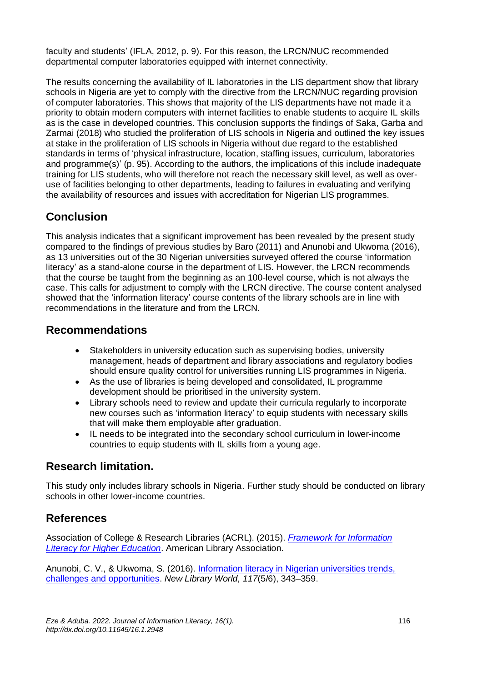faculty and students' (IFLA, 2012, p. 9). For this reason, the LRCN/NUC recommended departmental computer laboratories equipped with internet connectivity.

The results concerning the availability of IL laboratories in the LIS department show that library schools in Nigeria are yet to comply with the directive from the LRCN/NUC regarding provision of computer laboratories. This shows that majority of the LIS departments have not made it a priority to obtain modern computers with internet facilities to enable students to acquire IL skills as is the case in developed countries. This conclusion supports the findings of Saka, Garba and Zarmai (2018) who studied the proliferation of LIS schools in Nigeria and outlined the key issues at stake in the proliferation of LIS schools in Nigeria without due regard to the established standards in terms of 'physical infrastructure, location, staffing issues, curriculum, laboratories and programme(s)' (p. 95). According to the authors, the implications of this include inadequate training for LIS students, who will therefore not reach the necessary skill level, as well as overuse of facilities belonging to other departments, leading to failures in evaluating and verifying the availability of resources and issues with accreditation for Nigerian LIS programmes.

# **Conclusion**

This analysis indicates that a significant improvement has been revealed by the present study compared to the findings of previous studies by Baro (2011) and Anunobi and Ukwoma (2016), as 13 universities out of the 30 Nigerian universities surveyed offered the course 'information literacy' as a stand-alone course in the department of LIS. However, the LRCN recommends that the course be taught from the beginning as an 100-level course, which is not always the case. This calls for adjustment to comply with the LRCN directive. The course content analysed showed that the 'information literacy' course contents of the library schools are in line with recommendations in the literature and from the LRCN.

### **Recommendations**

- Stakeholders in university education such as supervising bodies, university management, heads of department and library associations and regulatory bodies should ensure quality control for universities running LIS programmes in Nigeria.
- As the use of libraries is being developed and consolidated, IL programme development should be prioritised in the university system.
- Library schools need to review and update their curricula regularly to incorporate new courses such as 'information literacy' to equip students with necessary skills that will make them employable after graduation.
- IL needs to be integrated into the secondary school curriculum in lower-income countries to equip students with IL skills from a young age.

### **Research limitation.**

This study only includes library schools in Nigeria. Further study should be conducted on library schools in other lower-income countries.

## **References**

Association of College & Research Libraries (ACRL). (2015). *[Framework for Information](https://www.ala.org/acrl/sites/ala.org.acrl/files/content/issues/infolit/Framework_ILHE.pdf)  [Literacy for Higher Education](https://www.ala.org/acrl/sites/ala.org.acrl/files/content/issues/infolit/Framework_ILHE.pdf)*. American Library Association.

Anunobi, C. V., & Ukwoma, S. (2016). Information literacy in Nigerian universities trends, [challenges and opportunities.](https://doi.org/10.1108/NLW-10-2015-0078) *New Library World, 117*(5/6), 343–359.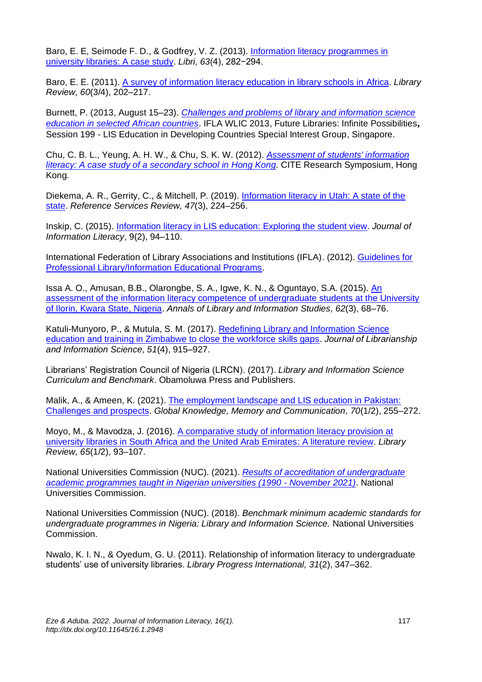Baro, E. E, Seimode F. D., & Godfrey, V. Z. (2013). [Information literacy programmes in](https://doi.org/10.1515/libri-2013-0023)  [university libraries: A](https://doi.org/10.1515/libri-2013-0023) case study. *Libri, 63*(4), 282−294.

Baro, E. E. (2011). [A survey of information literacy education in library schools in Africa.](https://doi.org/10.1108/00242531111117263) *Library Review, 60*(3/4), 202–217.

Burnett, P. (2013, August 15–23). *[Challenges and problems of library and information science](http://library.ifla.org/id/eprint/175/1/199-burnett-en.pdf)  [education in selected African countries](http://library.ifla.org/id/eprint/175/1/199-burnett-en.pdf)*. IFLA WLIC 2013, Future Libraries: Infinite Possibilities**,** Session 199 - LIS Education in Developing Countries Special Interest Group, Singapore.

Chu, C. B. L., Yeung, A. H. W., & Chu, S. K. W. (2012). *[Assessment of students' information](http://web.hku.hk/~samchu/docs/Chu-2012-Assessment-of-students-information-literacy.pdf)  [literacy: A case study of a secondary school in](http://web.hku.hk/~samchu/docs/Chu-2012-Assessment-of-students-information-literacy.pdf) Hong Kong.* CITE Research Symposium, Hong Kong*.* 

Diekema, A. R., Gerrity, C., & Mitchell, P. (2019). [Information literacy in Utah: A state of the](https://doi.org/10.1108/RSR-03-2019-0013)  [state.](https://doi.org/10.1108/RSR-03-2019-0013) *Reference Services Review, 47*(3), 224–256.

Inskip, C. (2015). [Information literacy in LIS education: Exploring the student view.](http://dx.doi.org/%2010.11645/%209.2.2033) *Journal of Information Literacy*, 9(2), 94–110.

International Federation of Library Associations and Institutions (IFLA). (2012). [Guidelines for](https://repository.ifla.org/handle/123456789/772)  [Professional Library/Information Educational Programs.](https://repository.ifla.org/handle/123456789/772)

Issa A. O., Amusan, B.B., Olarongbe, S. A., Igwe, K. N., & Oguntayo, S.A. (2015). [An](https://eprints.lmu.edu.ng/id/eprint/624)  [assessment of the information literacy competence of undergraduate students at the University](https://eprints.lmu.edu.ng/id/eprint/624)  [of Ilorin, Kwara State, Nigeria.](https://eprints.lmu.edu.ng/id/eprint/624) *Annals of Library and Information Studies, 62*(3), 68–76.

Katuli-Munyoro, P., & Mutula, S. M. (2017). [Redefining Library and Information](https://doi.org/10.1177/0961000617748472) Science [education and training in Zimbabwe to close the workforce skills gaps.](https://doi.org/10.1177/0961000617748472) *Journal of Librarianship and Information Science, 51*(4), 915–927.

Librarians' Registration Council of Nigeria (LRCN). (2017). *Library and Information Science Curriculum and Benchmark*. Obamoluwa Press and Publishers.

Malik, A., & Ameen, K. (2021)[. The employment landscape and](https://doi.org/10.1108/GKMC-11-2019-0146) LIS education in Pakistan: [Challenges and prospects.](https://doi.org/10.1108/GKMC-11-2019-0146) *Global Knowledge, Memory and Communication, 70*(1/2), 255–272.

Moyo, M., & Mavodza, J. (2016). [A comparative study of information literacy provision at](https://doi.org/10.1108/LR-06-2015-0069)  [university libraries in South Africa and the United Arab Emirates: A literature review.](https://doi.org/10.1108/LR-06-2015-0069) *Library Review, 65*(1/2), 93–107.

National Universities Commission (NUC). (2021). *[Results of accreditation of undergraduate](https://www.nuc.edu.ng/wp-content/uploads/2021/11/Undergraduate-Accreditation-Result-as-at-November-2021.pdf)  [academic programmes taught in Nigerian universities \(1990 -](https://www.nuc.edu.ng/wp-content/uploads/2021/11/Undergraduate-Accreditation-Result-as-at-November-2021.pdf) November 2021)*. National Universities Commission.

National Universities Commission (NUC). (2018). *Benchmark minimum academic standards for undergraduate programmes in Nigeria: Library and Information Science.* National Universities Commission.

Nwalo, K. I. N., & Oyedum, G. U. (2011). Relationship of information literacy to undergraduate students' use of university libraries. *Library Progress International, 31*(2), 347–362.